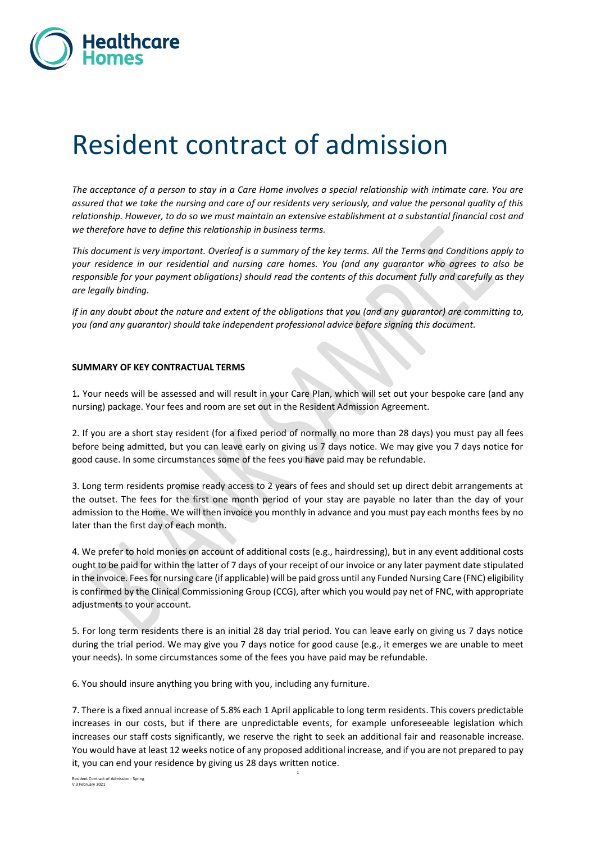

# Resident contract of admission

*The acceptance of a person to stay in a Care Home involves a special relationship with intimate care. You are assured that we take the nursing and care of our residents very seriously, and value the personal quality of this relationship. However, to do so we must maintain an extensive establishment at a substantial financial cost and we therefore have to define this relationship in business terms.* 

*This document is very important. Overleaf is a summary of the key terms. All the Terms and Conditions apply to your residence in our residential and nursing care homes. You (and any guarantor who agrees to also be responsible for your payment obligations) should read the contents of this document fully and carefully as they are legally binding.*

*If in any doubt about the nature and extent of the obligations that you (and any guarantor) are committing to, you (and any guarantor) should take independent professional advice before signing this document.*

## **SUMMARY OF KEY CONTRACTUAL TERMS**

1**.** Your needs will be assessed and will result in your Care Plan, which will set out your bespoke care (and any nursing) package. Your fees and room are set out in the Resident Admission Agreement.

2. If you are a short stay resident (for a fixed period of normally no more than 28 days) you must pay all fees before being admitted, but you can leave early on giving us 7 days notice. We may give you 7 days notice for good cause. In some circumstances some of the fees you have paid may be refundable.

3. Long term residents promise ready access to 2 years of fees and should set up direct debit arrangements at the outset. The fees for the first one month period of your stay are payable no later than the day of your admission to the Home. We will then invoice you monthly in advance and you must pay each months fees by no later than the first day of each month.

4. We prefer to hold monies on account of additional costs (e.g., hairdressing), but in any event additional costs ought to be paid for within the latter of 7 days of your receipt of our invoice or any later payment date stipulated in the invoice. Fees for nursing care (if applicable) will be paid gross until any Funded Nursing Care (FNC) eligibility is confirmed by the Clinical Commissioning Group (CCG), after which you would pay net of FNC, with appropriate adjustments to your account.

5. For long term residents there is an initial 28 day trial period. You can leave early on giving us 7 days notice during the trial period. We may give you 7 days notice for good cause (e.g., it emerges we are unable to meet your needs). In some circumstances some of the fees you have paid may be refundable.

6. You should insure anything you bring with you, including any furniture.

7. There is a fixed annual increase of 5.8% each 1 April applicable to long term residents. This covers predictable increases in our costs, but if there are unpredictable events, for example unforeseeable legislation which increases our staff costs significantly, we reserve the right to seek an additional fair and reasonable increase. You would have at least 12 weeks notice of any proposed additional increase, and if you are not prepared to pay it, you can end your residence by giving us 28 days written notice.

1

**Resident Contract of Admission - Spring** Resident Contract<br>V.3 February 2021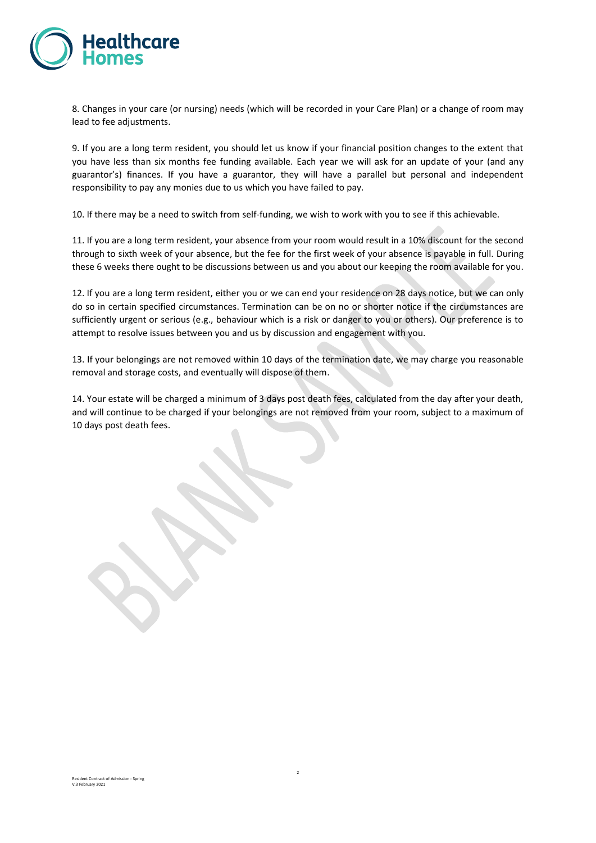

8. Changes in your care (or nursing) needs (which will be recorded in your Care Plan) or a change of room may lead to fee adjustments.

9. If you are a long term resident, you should let us know if your financial position changes to the extent that you have less than six months fee funding available. Each year we will ask for an update of your (and any guarantor's) finances. If you have a guarantor, they will have a parallel but personal and independent responsibility to pay any monies due to us which you have failed to pay.

10. If there may be a need to switch from self-funding, we wish to work with you to see if this achievable.

11. If you are a long term resident, your absence from your room would result in a 10% discount for the second through to sixth week of your absence, but the fee for the first week of your absence is payable in full. During these 6 weeks there ought to be discussions between us and you about our keeping the room available for you.

12. If you are a long term resident, either you or we can end your residence on 28 days notice, but we can only do so in certain specified circumstances. Termination can be on no or shorter notice if the circumstances are sufficiently urgent or serious (e.g., behaviour which is a risk or danger to you or others). Our preference is to attempt to resolve issues between you and us by discussion and engagement with you.

13. If your belongings are not removed within 10 days of the termination date, we may charge you reasonable removal and storage costs, and eventually will dispose of them.

14. Your estate will be charged a minimum of 3 days post death fees, calculated from the day after your death, and will continue to be charged if your belongings are not removed from your room, subject to a maximum of 10 days post death fees.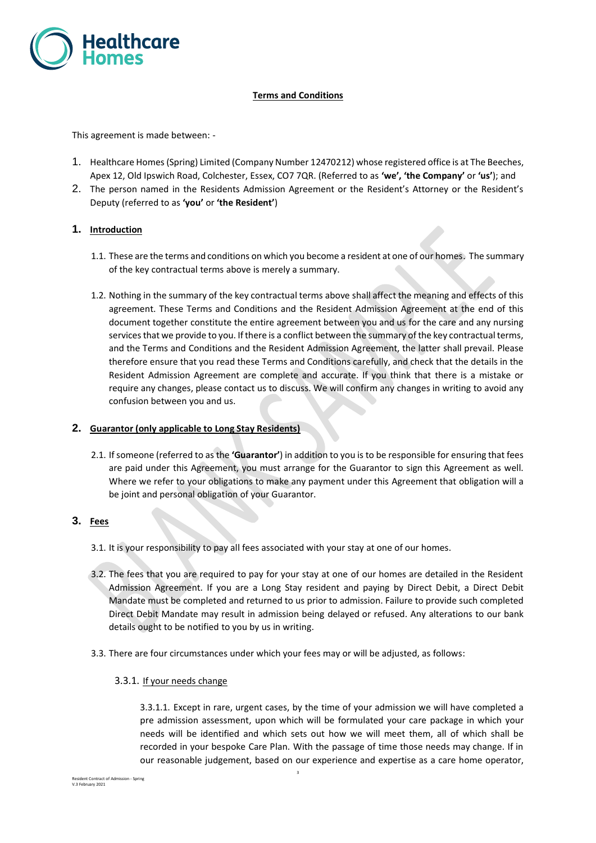

## **Terms and Conditions**

This agreement is made between: -

- 1. Healthcare Homes (Spring) Limited (Company Number 12470212) whose registered office is at The Beeches, Apex 12, Old Ipswich Road, Colchester, Essex, CO7 7QR. (Referred to as **'we', 'the Company'** or **'us'**); and
- 2. The person named in the Residents Admission Agreement or the Resident's Attorney or the Resident's Deputy (referred to as **'you'** or **'the Resident'**)

## **1. Introduction**

- 1.1. These are the terms and conditions on which you become a resident at one of our homes. The summary of the key contractual terms above is merely a summary.
- 1.2. Nothing in the summary of the key contractual terms above shall affect the meaning and effects of this agreement. These Terms and Conditions and the Resident Admission Agreement at the end of this document together constitute the entire agreement between you and us for the care and any nursing services that we provide to you. If there is a conflict between the summary of the key contractual terms, and the Terms and Conditions and the Resident Admission Agreement, the latter shall prevail. Please therefore ensure that you read these Terms and Conditions carefully, and check that the details in the Resident Admission Agreement are complete and accurate. If you think that there is a mistake or require any changes, please contact us to discuss. We will confirm any changes in writing to avoid any confusion between you and us.

## **2. Guarantor (only applicable to Long Stay Residents)**

2.1. If someone (referred to as the **'Guarantor'**) in addition to you is to be responsible for ensuring that fees are paid under this Agreement, you must arrange for the Guarantor to sign this Agreement as well. Where we refer to your obligations to make any payment under this Agreement that obligation will a be joint and personal obligation of your Guarantor.

## **3. Fees**

- 3.1. It is your responsibility to pay all fees associated with your stay at one of our homes.
- 3.2. The fees that you are required to pay for your stay at one of our homes are detailed in the Resident Admission Agreement. If you are a Long Stay resident and paying by Direct Debit, a Direct Debit Mandate must be completed and returned to us prior to admission. Failure to provide such completed Direct Debit Mandate may result in admission being delayed or refused. Any alterations to our bank details ought to be notified to you by us in writing.
- 3.3. There are four circumstances under which your fees may or will be adjusted, as follows:
	- 3.3.1. If your needs change

3.3.1.1. Except in rare, urgent cases, by the time of your admission we will have completed a pre admission assessment, upon which will be formulated your care package in which your needs will be identified and which sets out how we will meet them, all of which shall be recorded in your bespoke Care Plan. With the passage of time those needs may change. If in our reasonable judgement, based on our experience and expertise as a care home operator,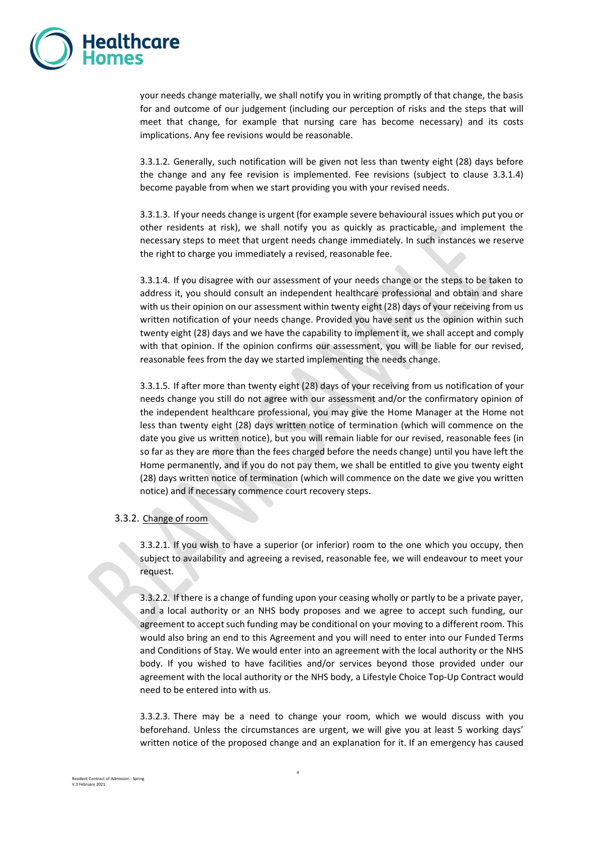

your needs change materially, we shall notify you in writing promptly of that change, the basis for and outcome of our judgement (including our perception of risks and the steps that will meet that change, for example that nursing care has become necessary) and its costs implications. Any fee revisions would be reasonable.

3.3.1.2. Generally, such notification will be given not less than twenty eight (28) days before the change and any fee revision is implemented. Fee revisions (subject to clause 3.3.1.4) become payable from when we start providing you with your revised needs.

3.3.1.3. If your needs change is urgent (for example severe behavioural issues which put you or other residents at risk), we shall notify you as quickly as practicable, and implement the necessary steps to meet that urgent needs change immediately. In such instances we reserve the right to charge you immediately a revised, reasonable fee.

3.3.1.4. If you disagree with our assessment of your needs change or the steps to be taken to address it, you should consult an independent healthcare professional and obtain and share with us their opinion on our assessment within twenty eight (28) days of your receiving from us written notification of your needs change. Provided you have sent us the opinion within such twenty eight (28) days and we have the capability to implement it, we shall accept and comply with that opinion. If the opinion confirms our assessment, you will be liable for our revised, reasonable fees from the day we started implementing the needs change.

3.3.1.5. If after more than twenty eight (28) days of your receiving from us notification of your needs change you still do not agree with our assessment and/or the confirmatory opinion of the independent healthcare professional, you may give the Home Manager at the Home not less than twenty eight (28) days written notice of termination (which will commence on the date you give us written notice), but you will remain liable for our revised, reasonable fees (in so far as they are more than the fees charged before the needs change) until you have left the Home permanently, and if you do not pay them, we shall be entitled to give you twenty eight (28) days written notice of termination (which will commence on the date we give you written notice) and if necessary commence court recovery steps.

#### 3.3.2. Change of room

3.3.2.1. If you wish to have a superior (or inferior) room to the one which you occupy, then subject to availability and agreeing a revised, reasonable fee, we will endeavour to meet your request.

3.3.2.2. If there is a change of funding upon your ceasing wholly or partly to be a private payer, and a local authority or an NHS body proposes and we agree to accept such funding, our agreement to accept such funding may be conditional on your moving to a different room. This would also bring an end to this Agreement and you will need to enter into our Funded Terms and Conditions of Stay. We would enter into an agreement with the local authority or the NHS body. If you wished to have facilities and/or services beyond those provided under our agreement with the local authority or the NHS body, a Lifestyle Choice Top-Up Contract would need to be entered into with us.

3.3.2.3. There may be a need to change your room, which we would discuss with you beforehand. Unless the circumstances are urgent, we will give you at least 5 working days' written notice of the proposed change and an explanation for it. If an emergency has caused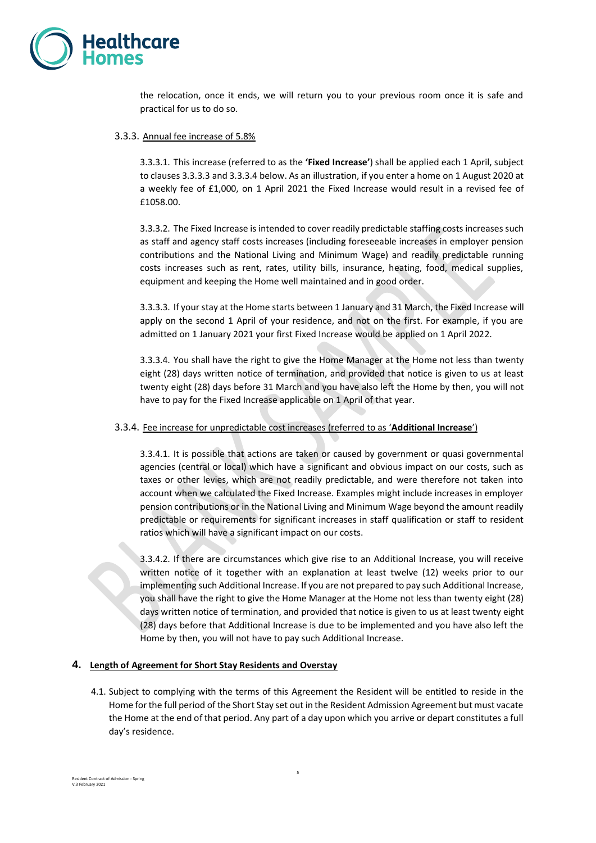

the relocation, once it ends, we will return you to your previous room once it is safe and practical for us to do so.

#### 3.3.3. Annual fee increase of 5.8%

3.3.3.1. This increase (referred to as the **'Fixed Increase'**) shall be applied each 1 April, subject to clauses 3.3.3.3 and 3.3.3.4 below. As an illustration, if you enter a home on 1 August 2020 at a weekly fee of £1,000, on 1 April 2021 the Fixed Increase would result in a revised fee of £1058.00.

3.3.3.2. The Fixed Increase is intended to cover readily predictable staffing costs increases such as staff and agency staff costs increases (including foreseeable increases in employer pension contributions and the National Living and Minimum Wage) and readily predictable running costs increases such as rent, rates, utility bills, insurance, heating, food, medical supplies, equipment and keeping the Home well maintained and in good order.

3.3.3.3. If your stay at the Home starts between 1 January and 31 March, the Fixed Increase will apply on the second 1 April of your residence, and not on the first. For example, if you are admitted on 1 January 2021 your first Fixed Increase would be applied on 1 April 2022.

3.3.3.4. You shall have the right to give the Home Manager at the Home not less than twenty eight (28) days written notice of termination, and provided that notice is given to us at least twenty eight (28) days before 31 March and you have also left the Home by then, you will not have to pay for the Fixed Increase applicable on 1 April of that year.

## 3.3.4. Fee increase for unpredictable cost increases (referred to as '**Additional Increase**')

3.3.4.1. It is possible that actions are taken or caused by government or quasi governmental agencies (central or local) which have a significant and obvious impact on our costs, such as taxes or other levies, which are not readily predictable, and were therefore not taken into account when we calculated the Fixed Increase. Examples might include increases in employer pension contributions or in the National Living and Minimum Wage beyond the amount readily predictable or requirements for significant increases in staff qualification or staff to resident ratios which will have a significant impact on our costs.

3.3.4.2. If there are circumstances which give rise to an Additional Increase, you will receive written notice of it together with an explanation at least twelve (12) weeks prior to our implementing such Additional Increase. If you are not prepared to pay such Additional Increase, you shall have the right to give the Home Manager at the Home not less than twenty eight (28) days written notice of termination, and provided that notice is given to us at least twenty eight (28) days before that Additional Increase is due to be implemented and you have also left the Home by then, you will not have to pay such Additional Increase.

## **4. Length of Agreement for Short Stay Residents and Overstay**

4.1. Subject to complying with the terms of this Agreement the Resident will be entitled to reside in the Home for the full period of the Short Stay set out in the Resident Admission Agreement but must vacate the Home at the end of that period. Any part of a day upon which you arrive or depart constitutes a full day's residence.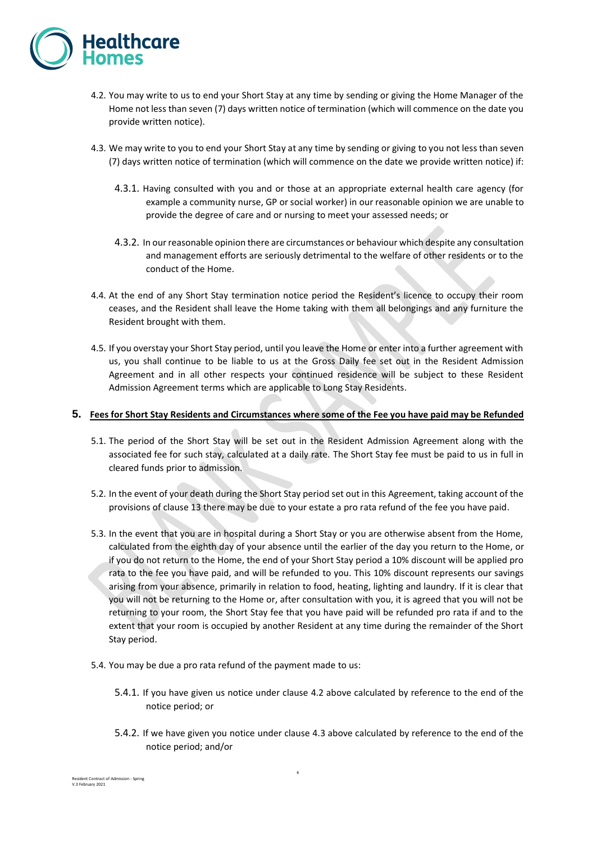

- 4.2. You may write to us to end your Short Stay at any time by sending or giving the Home Manager of the Home not less than seven (7) days written notice of termination (which will commence on the date you provide written notice).
- 4.3. We may write to you to end your Short Stay at any time by sending or giving to you not less than seven (7) days written notice of termination (which will commence on the date we provide written notice) if:
	- 4.3.1. Having consulted with you and or those at an appropriate external health care agency (for example a community nurse, GP or social worker) in our reasonable opinion we are unable to provide the degree of care and or nursing to meet your assessed needs; or
	- 4.3.2. In our reasonable opinion there are circumstances or behaviour which despite any consultation and management efforts are seriously detrimental to the welfare of other residents or to the conduct of the Home.
- 4.4. At the end of any Short Stay termination notice period the Resident's licence to occupy their room ceases, and the Resident shall leave the Home taking with them all belongings and any furniture the Resident brought with them.
- 4.5. If you overstay your Short Stay period, until you leave the Home or enter into a further agreement with us, you shall continue to be liable to us at the Gross Daily fee set out in the Resident Admission Agreement and in all other respects your continued residence will be subject to these Resident Admission Agreement terms which are applicable to Long Stay Residents.

## **5. Fees for Short Stay Residents and Circumstances where some of the Fee you have paid may be Refunded**

- 5.1. The period of the Short Stay will be set out in the Resident Admission Agreement along with the associated fee for such stay, calculated at a daily rate. The Short Stay fee must be paid to us in full in cleared funds prior to admission.
- 5.2. In the event of your death during the Short Stay period set out in this Agreement, taking account of the provisions of clause [13](#page-10-0) there may be due to your estate a pro rata refund of the fee you have paid.
- 5.3. In the event that you are in hospital during a Short Stay or you are otherwise absent from the Home, calculated from the eighth day of your absence until the earlier of the day you return to the Home, or if you do not return to the Home, the end of your Short Stay period a 10% discount will be applied pro rata to the fee you have paid, and will be refunded to you. This 10% discount represents our savings arising from your absence, primarily in relation to food, heating, lighting and laundry. If it is clear that you will not be returning to the Home or, after consultation with you, it is agreed that you will not be returning to your room, the Short Stay fee that you have paid will be refunded pro rata if and to the extent that your room is occupied by another Resident at any time during the remainder of the Short Stay period.
- 5.4. You may be due a pro rata refund of the payment made to us:
	- 5.4.1. If you have given us notice under clause 4.2 above calculated by reference to the end of the notice period; or
	- 5.4.2. If we have given you notice under clause 4.3 above calculated by reference to the end of the notice period; and/or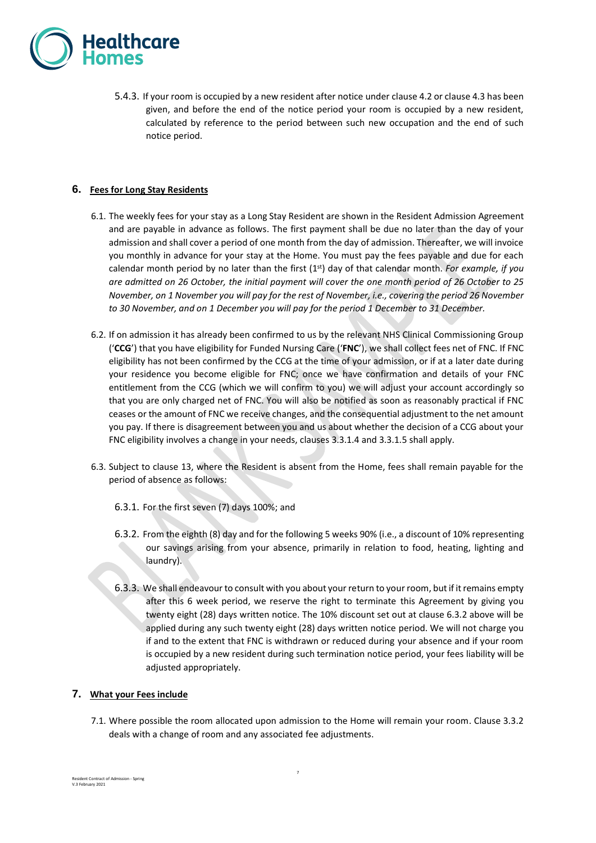

5.4.3. If your room is occupied by a new resident after notice under clause 4.2 or clause 4.3 has been given, and before the end of the notice period your room is occupied by a new resident, calculated by reference to the period between such new occupation and the end of such notice period.

## **6. Fees for Long Stay Residents**

- 6.1. The weekly fees for your stay as a Long Stay Resident are shown in the Resident Admission Agreement and are payable in advance as follows. The first payment shall be due no later than the day of your admission and shall cover a period of one month from the day of admission. Thereafter, we will invoice you monthly in advance for your stay at the Home. You must pay the fees payable and due for each calendar month period by no later than the first (1st) day of that calendar month. *For example, if you are admitted on 26 October, the initial payment will cover the one month period of 26 October to 25 November, on 1 November you will pay for the rest of November, i.e., covering the period 26 November to 30 November, and on 1 December you will pay for the period 1 December to 31 December.*
- 6.2. If on admission it has already been confirmed to us by the relevant NHS Clinical Commissioning Group ('**CCG**') that you have eligibility for Funded Nursing Care ('**FNC**'), we shall collect fees net of FNC. If FNC eligibility has not been confirmed by the CCG at the time of your admission, or if at a later date during your residence you become eligible for FNC; once we have confirmation and details of your FNC entitlement from the CCG (which we will confirm to you) we will adjust your account accordingly so that you are only charged net of FNC. You will also be notified as soon as reasonably practical if FNC ceases or the amount of FNC we receive changes, and the consequential adjustment to the net amount you pay. If there is disagreement between you and us about whether the decision of a CCG about your FNC eligibility involves a change in your needs, clauses 3.3.1.4 and 3.3.1.5 shall apply.
- 6.3. Subject to clause [13,](#page-10-0) where the Resident is absent from the Home, fees shall remain payable for the period of absence as follows:
	- 6.3.1. For the first seven (7) days 100%; and
	- 6.3.2. From the eighth (8) day and for the following 5 weeks 90% (i.e., a discount of 10% representing our savings arising from your absence, primarily in relation to food, heating, lighting and laundry).
	- 6.3.3. We shall endeavour to consult with you about your return to your room, but if it remains empty after this 6 week period, we reserve the right to terminate this Agreement by giving you twenty eight (28) days written notice. The 10% discount set out at clause 6.3.2 above will be applied during any such twenty eight (28) days written notice period. We will not charge you if and to the extent that FNC is withdrawn or reduced during your absence and if your room is occupied by a new resident during such termination notice period, your fees liability will be adjusted appropriately.

## **7. What your Fees include**

<span id="page-6-0"></span>7.1. Where possible the room allocated upon admission to the Home will remain your room. Clause 3.3.2 deals with a change of room and any associated fee adjustments.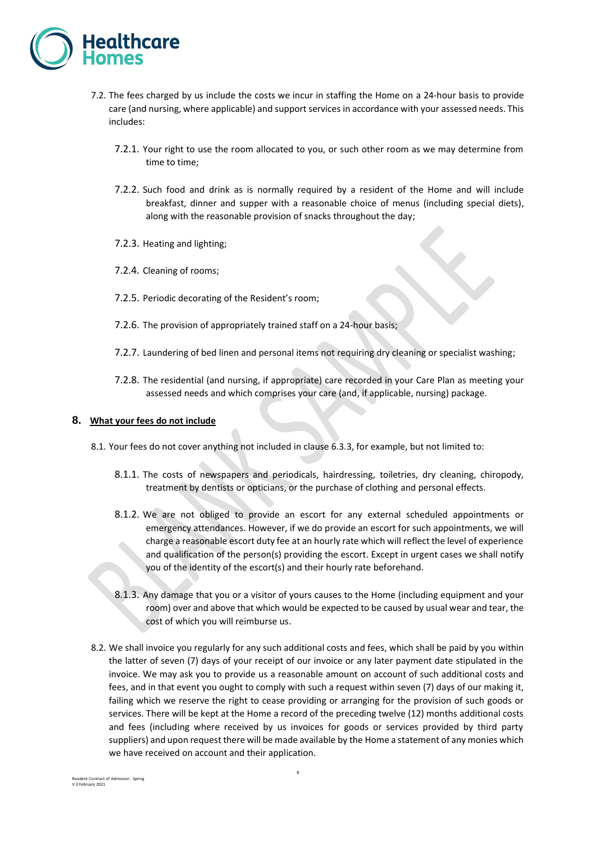

- 7.2. The fees charged by us include the costs we incur in staffing the Home on a 24-hour basis to provide care (and nursing, where applicable) and support services in accordance with your assessed needs. This includes:
	- 7.2.1. Your right to use the room allocated to you, or such other room as we may determine from time to time;
	- 7.2.2. Such food and drink as is normally required by a resident of the Home and will include breakfast, dinner and supper with a reasonable choice of menus (including special diets), along with the reasonable provision of snacks throughout the day;
	- 7.2.3. Heating and lighting;
	- 7.2.4. Cleaning of rooms;
	- 7.2.5. Periodic decorating of the Resident's room;
	- 7.2.6. The provision of appropriately trained staff on a 24-hour basis;
	- 7.2.7. Laundering of bed linen and personal items not requiring dry cleaning or specialist washing;
	- 7.2.8. The residential (and nursing, if appropriate) care recorded in your Care Plan as meeting your assessed needs and which comprises your care (and, if applicable, nursing) package.

#### **8. What your fees do not include**

- 8.1. Your fees do not cover anything not included in clause [6.3.3,](#page-6-0) for example, but not limited to:
	- 8.1.1. The costs of newspapers and periodicals, hairdressing, toiletries, dry cleaning, chiropody, treatment by dentists or opticians, or the purchase of clothing and personal effects.
	- 8.1.2. We are not obliged to provide an escort for any external scheduled appointments or emergency attendances. However, if we do provide an escort for such appointments, we will charge a reasonable escort duty fee at an hourly rate which will reflect the level of experience and qualification of the person(s) providing the escort. Except in urgent cases we shall notify you of the identity of the escort(s) and their hourly rate beforehand.
	- 8.1.3. Any damage that you or a visitor of yours causes to the Home (including equipment and your room) over and above that which would be expected to be caused by usual wear and tear, the cost of which you will reimburse us.
- 8.2. We shall invoice you regularly for any such additional costs and fees, which shall be paid by you within the latter of seven (7) days of your receipt of our invoice or any later payment date stipulated in the invoice. We may ask you to provide us a reasonable amount on account of such additional costs and fees, and in that event you ought to comply with such a request within seven (7) days of our making it, failing which we reserve the right to cease providing or arranging for the provision of such goods or services. There will be kept at the Home a record of the preceding twelve (12) months additional costs and fees (including where received by us invoices for goods or services provided by third party suppliers) and upon request there will be made available by the Home a statement of any monies which we have received on account and their application.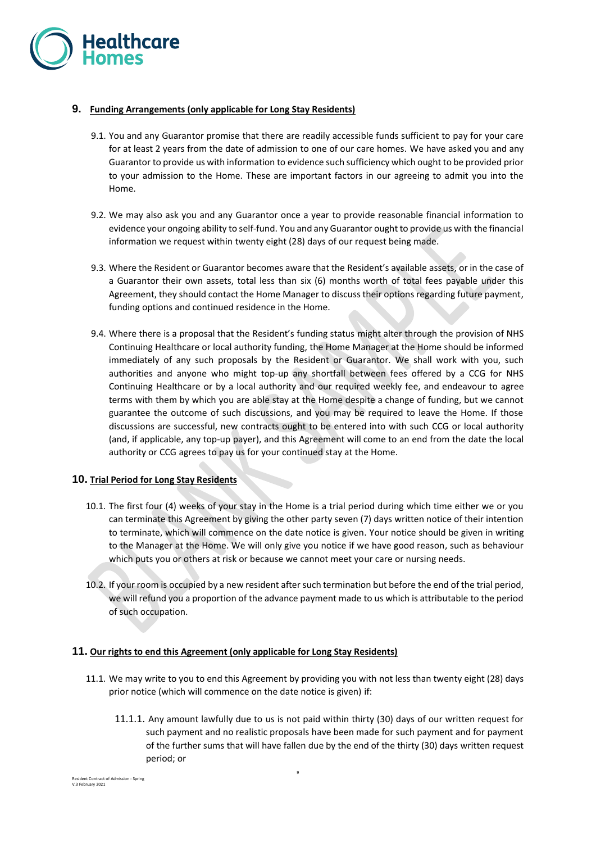

## **9. Funding Arrangements (only applicable for Long Stay Residents)**

- 9.1. You and any Guarantor promise that there are readily accessible funds sufficient to pay for your care for at least 2 years from the date of admission to one of our care homes. We have asked you and any Guarantor to provide us with information to evidence such sufficiency which ought to be provided prior to your admission to the Home. These are important factors in our agreeing to admit you into the Home.
- 9.2. We may also ask you and any Guarantor once a year to provide reasonable financial information to evidence your ongoing ability to self-fund. You and any Guarantor ought to provide us with the financial information we request within twenty eight (28) days of our request being made.
- 9.3. Where the Resident or Guarantor becomes aware that the Resident's available assets, or in the case of a Guarantor their own assets, total less than six (6) months worth of total fees payable under this Agreement, they should contact the Home Manager to discuss their options regarding future payment, funding options and continued residence in the Home.
- 9.4. Where there is a proposal that the Resident's funding status might alter through the provision of NHS Continuing Healthcare or local authority funding, the Home Manager at the Home should be informed immediately of any such proposals by the Resident or Guarantor. We shall work with you, such authorities and anyone who might top-up any shortfall between fees offered by a CCG for NHS Continuing Healthcare or by a local authority and our required weekly fee, and endeavour to agree terms with them by which you are able stay at the Home despite a change of funding, but we cannot guarantee the outcome of such discussions, and you may be required to leave the Home. If those discussions are successful, new contracts ought to be entered into with such CCG or local authority (and, if applicable, any top-up payer), and this Agreement will come to an end from the date the local authority or CCG agrees to pay us for your continued stay at the Home.

# **10. Trial Period for Long Stay Residents**

- 10.1. The first four (4) weeks of your stay in the Home is a trial period during which time either we or you can terminate this Agreement by giving the other party seven (7) days written notice of their intention to terminate, which will commence on the date notice is given. Your notice should be given in writing to the Manager at the Home. We will only give you notice if we have good reason, such as behaviour which puts you or others at risk or because we cannot meet your care or nursing needs.
- 10.2. If your room is occupied by a new resident after such termination but before the end of the trial period, we will refund you a proportion of the advance payment made to us which is attributable to the period of such occupation.

## **11. Our rights to end this Agreement (only applicable for Long Stay Residents)**

- 11.1. We may write to you to end this Agreement by providing you with not less than twenty eight (28) days prior notice (which will commence on the date notice is given) if:
	- 11.1.1. Any amount lawfully due to us is not paid within thirty (30) days of our written request for such payment and no realistic proposals have been made for such payment and for payment of the further sums that will have fallen due by the end of the thirty (30) days written request period; or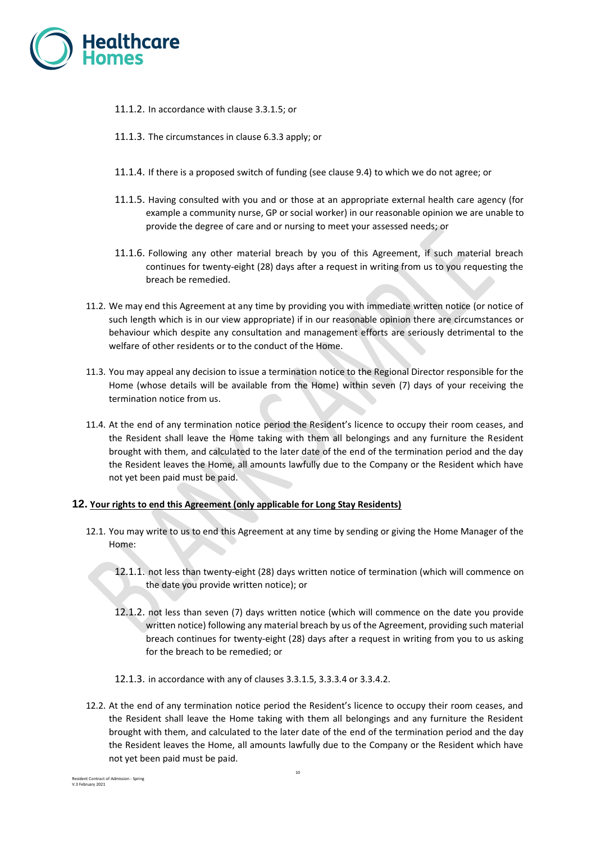

- 11.1.2. In accordance with clause 3.3.1.5; or
- 11.1.3. The circumstances in clause 6.3.3 apply; or
- 11.1.4. If there is a proposed switch of funding (see clause 9.4) to which we do not agree; or
- 11.1.5. Having consulted with you and or those at an appropriate external health care agency (for example a community nurse, GP or social worker) in our reasonable opinion we are unable to provide the degree of care and or nursing to meet your assessed needs; or
- 11.1.6. Following any other material breach by you of this Agreement, if such material breach continues for twenty-eight (28) days after a request in writing from us to you requesting the breach be remedied.
- 11.2. We may end this Agreement at any time by providing you with immediate written notice (or notice of such length which is in our view appropriate) if in our reasonable opinion there are circumstances or behaviour which despite any consultation and management efforts are seriously detrimental to the welfare of other residents or to the conduct of the Home.
- 11.3. You may appeal any decision to issue a termination notice to the Regional Director responsible for the Home (whose details will be available from the Home) within seven (7) days of your receiving the termination notice from us.
- 11.4. At the end of any termination notice period the Resident's licence to occupy their room ceases, and the Resident shall leave the Home taking with them all belongings and any furniture the Resident brought with them, and calculated to the later date of the end of the termination period and the day the Resident leaves the Home, all amounts lawfully due to the Company or the Resident which have not yet been paid must be paid.

## **12. Your rights to end this Agreement (only applicable for Long Stay Residents)**

- 12.1. You may write to us to end this Agreement at any time by sending or giving the Home Manager of the Home:
	- 12.1.1. not less than twenty-eight (28) days written notice of termination (which will commence on the date you provide written notice); or
	- 12.1.2. not less than seven (7) days written notice (which will commence on the date you provide written notice) following any material breach by us of the Agreement, providing such material breach continues for twenty-eight (28) days after a request in writing from you to us asking for the breach to be remedied; or
	- 12.1.3. in accordance with any of clauses 3.3.1.5, 3.3.3.4 or 3.3.4.2.
- 12.2. At the end of any termination notice period the Resident's licence to occupy their room ceases, and the Resident shall leave the Home taking with them all belongings and any furniture the Resident brought with them, and calculated to the later date of the end of the termination period and the day the Resident leaves the Home, all amounts lawfully due to the Company or the Resident which have not yet been paid must be paid.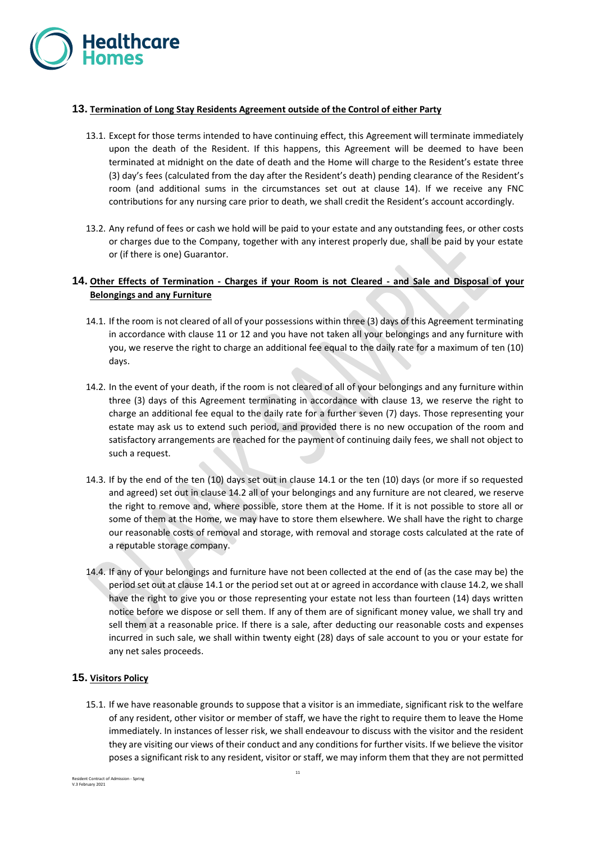

## **13. Termination of Long Stay Residents Agreement outside of the Control of either Party**

- <span id="page-10-0"></span>13.1. Except for those terms intended to have continuing effect, this Agreement will terminate immediately upon the death of the Resident. If this happens, this Agreement will be deemed to have been terminated at midnight on the date of death and the Home will charge to the Resident's estate three (3) day's fees (calculated from the day after the Resident's death) pending clearance of the Resident's room (and additional sums in the circumstances set out at clause 14). If we receive any FNC contributions for any nursing care prior to death, we shall credit the Resident's account accordingly.
- 13.2. Any refund of fees or cash we hold will be paid to your estate and any outstanding fees, or other costs or charges due to the Company, together with any interest properly due, shall be paid by your estate or (if there is one) Guarantor.

# **14. Other Effects of Termination - Charges if your Room is not Cleared - and Sale and Disposal of your Belongings and any Furniture**

- 14.1. If the room is not cleared of all of your possessions within three (3) days of this Agreement terminating in accordance with clause 11 or 12 and you have not taken all your belongings and any furniture with you, we reserve the right to charge an additional fee equal to the daily rate for a maximum of ten (10) days.
- 14.2. In the event of your death, if the room is not cleared of all of your belongings and any furniture within three (3) days of this Agreement terminating in accordance with clause [13,](#page-10-0) we reserve the right to charge an additional fee equal to the daily rate for a further seven (7) days. Those representing your estate may ask us to extend such period, and provided there is no new occupation of the room and satisfactory arrangements are reached for the payment of continuing daily fees, we shall not object to such a request.
- 14.3. If by the end of the ten (10) days set out in clause 14.1 or the ten (10) days (or more if so requested and agreed) set out in clause 14.2 all of your belongings and any furniture are not cleared, we reserve the right to remove and, where possible, store them at the Home. If it is not possible to store all or some of them at the Home, we may have to store them elsewhere. We shall have the right to charge our reasonable costs of removal and storage, with removal and storage costs calculated at the rate of a reputable storage company.
- 14.4. If any of your belongings and furniture have not been collected at the end of (as the case may be) the period set out at clause 14.1 or the period set out at or agreed in accordance with clause 14.2, we shall have the right to give you or those representing your estate not less than fourteen (14) days written notice before we dispose or sell them. If any of them are of significant money value, we shall try and sell them at a reasonable price. If there is a sale, after deducting our reasonable costs and expenses incurred in such sale, we shall within twenty eight (28) days of sale account to you or your estate for any net sales proceeds.

## **15. Visitors Policy**

15.1. If we have reasonable grounds to suppose that a visitor is an immediate, significant risk to the welfare of any resident, other visitor or member of staff, we have the right to require them to leave the Home immediately. In instances of lesser risk, we shall endeavour to discuss with the visitor and the resident they are visiting our views of their conduct and any conditions for further visits. If we believe the visitor poses a significant risk to any resident, visitor or staff, we may inform them that they are not permitted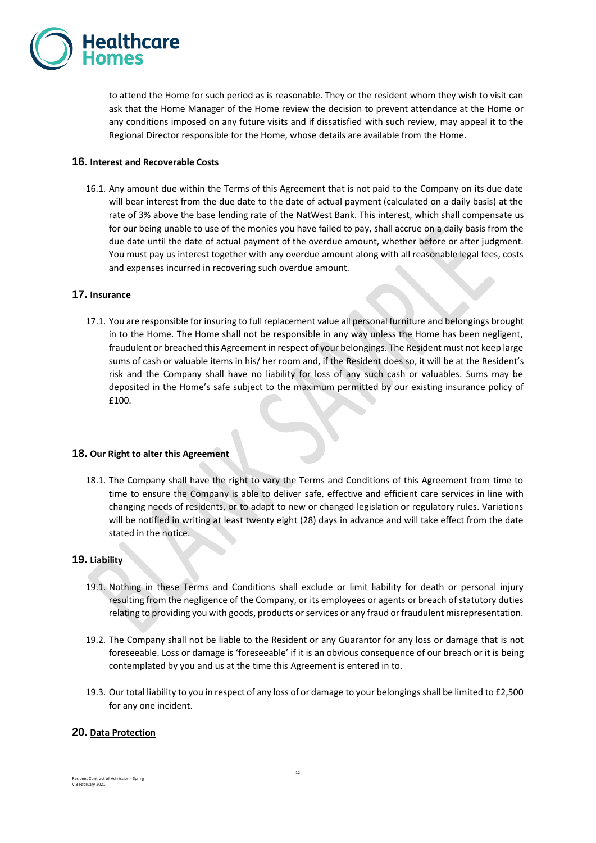

to attend the Home for such period as is reasonable. They or the resident whom they wish to visit can ask that the Home Manager of the Home review the decision to prevent attendance at the Home or any conditions imposed on any future visits and if dissatisfied with such review, may appeal it to the Regional Director responsible for the Home, whose details are available from the Home.

## **16. Interest and Recoverable Costs**

16.1. Any amount due within the Terms of this Agreement that is not paid to the Company on its due date will bear interest from the due date to the date of actual payment (calculated on a daily basis) at the rate of 3% above the base lending rate of the NatWest Bank. This interest, which shall compensate us for our being unable to use of the monies you have failed to pay, shall accrue on a daily basis from the due date until the date of actual payment of the overdue amount, whether before or after judgment. You must pay us interest together with any overdue amount along with all reasonable legal fees, costs and expenses incurred in recovering such overdue amount.

## **17. Insurance**

17.1. You are responsible for insuring to full replacement value all personal furniture and belongings brought in to the Home. The Home shall not be responsible in any way unless the Home has been negligent, fraudulent or breached this Agreement in respect of your belongings. The Resident must not keep large sums of cash or valuable items in his/ her room and, if the Resident does so, it will be at the Resident's risk and the Company shall have no liability for loss of any such cash or valuables. Sums may be deposited in the Home's safe subject to the maximum permitted by our existing insurance policy of £100.

## **18. Our Right to alter this Agreement**

18.1. The Company shall have the right to vary the Terms and Conditions of this Agreement from time to time to ensure the Company is able to deliver safe, effective and efficient care services in line with changing needs of residents, or to adapt to new or changed legislation or regulatory rules. Variations will be notified in writing at least twenty eight (28) days in advance and will take effect from the date stated in the notice.

## **19. Liability**

- 19.1. Nothing in these Terms and Conditions shall exclude or limit liability for death or personal injury resulting from the negligence of the Company, or its employees or agents or breach of statutory duties relating to providing you with goods, products or services or any fraud or fraudulent misrepresentation.
- 19.2. The Company shall not be liable to the Resident or any Guarantor for any loss or damage that is not foreseeable. Loss or damage is 'foreseeable' if it is an obvious consequence of our breach or it is being contemplated by you and us at the time this Agreement is entered in to.
- 19.3. Our total liability to you in respect of any loss of or damage to your belongings shall be limited to £2,500 for any one incident.

## **20. Data Protection**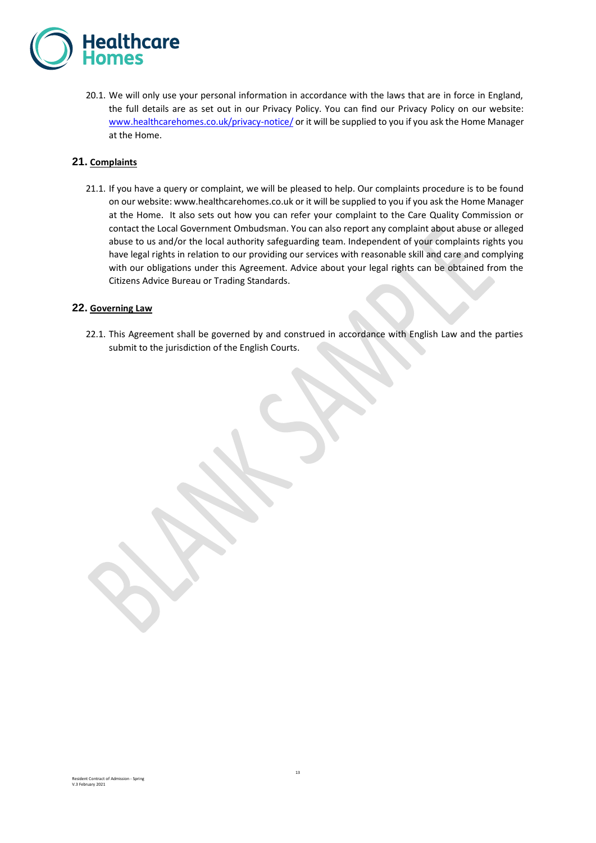

20.1. We will only use your personal information in accordance with the laws that are in force in England, the full details are as set out in our Privacy Policy. You can find our Privacy Policy on our website: [www.healthcarehomes.co.uk/privacy-notice/](http://www.healthcarehomes.co.uk/privacy-notice/) or it will be supplied to you if you ask the Home Manager at the Home.

## **21. Complaints**

21.1. If you have a query or complaint, we will be pleased to help. Our complaints procedure is to be found on our website: www.healthcarehomes.co.uk or it will be supplied to you if you ask the Home Manager at the Home. It also sets out how you can refer your complaint to the Care Quality Commission or contact the Local Government Ombudsman. You can also report any complaint about abuse or alleged abuse to us and/or the local authority safeguarding team. Independent of your complaints rights you have legal rights in relation to our providing our services with reasonable skill and care and complying with our obligations under this Agreement. Advice about your legal rights can be obtained from the Citizens Advice Bureau or Trading Standards.

## **22. Governing Law**

22.1. This Agreement shall be governed by and construed in accordance with English Law and the parties submit to the jurisdiction of the English Courts.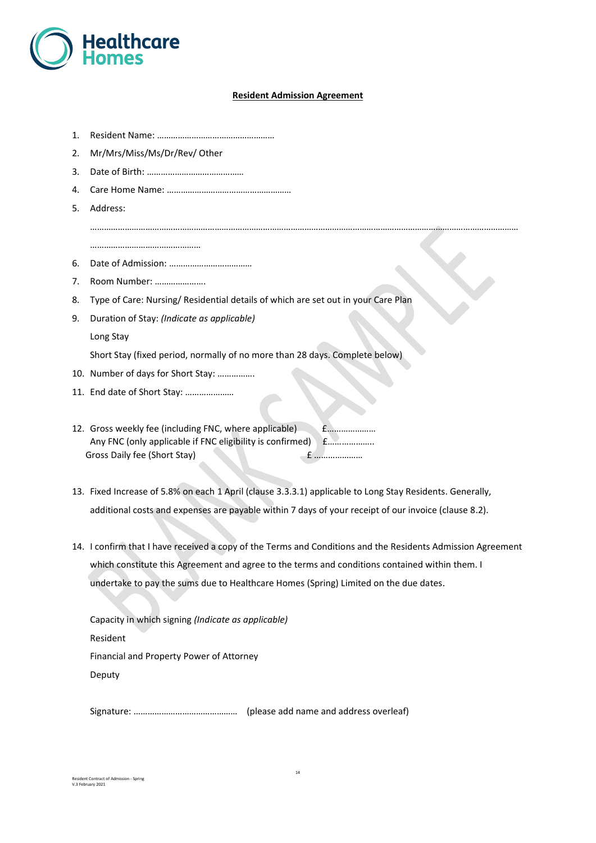

## **Resident Admission Agreement**

……………………………………………………………………………………………………………………………………………………………………

- 1. Resident Name: ……………………………………………
- 2. Mr/Mrs/Miss/Ms/Dr/Rev/ Other
- 3. Date of Birth: ……………………………………
- 4. Care Home Name: ………………………………………………
- 5. Address:

…………………………………………

- 6. Date of Admission: ………………………………
- 7. Room Number: ………………….
- 8. Type of Care: Nursing/ Residential details of which are set out in your Care Plan
- 9. Duration of Stay: *(Indicate as applicable)*

Long Stay

Short Stay (fixed period, normally of no more than 28 days. Complete below)

- 10. Number of days for Short Stay: …………….
- 11. End date of Short Stay: …………………
- 12. Gross weekly fee (including FNC, where applicable) £………………… Any FNC (only applicable if FNC eligibility is confirmed) £………………… Gross Daily fee (Short Stay) £ …………………
- 13. Fixed Increase of 5.8% on each 1 April (clause 3.3.3.1) applicable to Long Stay Residents. Generally, additional costs and expenses are payable within 7 days of your receipt of our invoice (clause 8.2).
- 14. I confirm that I have received a copy of the Terms and Conditions and the Residents Admission Agreement which constitute this Agreement and agree to the terms and conditions contained within them. I undertake to pay the sums due to Healthcare Homes (Spring) Limited on the due dates.

Capacity in which signing *(Indicate as applicable)* Resident Financial and Property Power of Attorney Deputy

Signature: ……………………………………… (please add name and address overleaf)